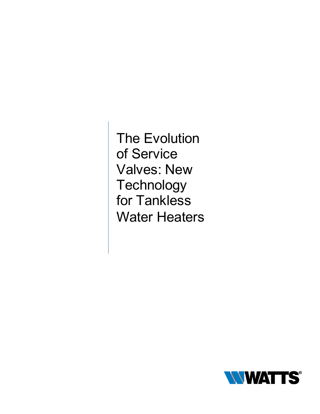The Evolution of Service Valves: New **Technology** for Tankless Water Heaters

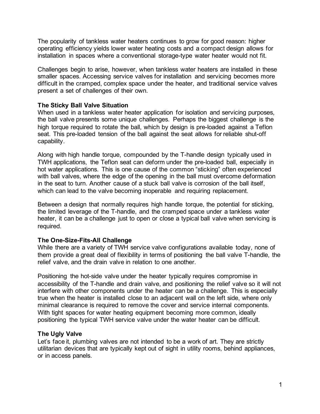The popularity of tankless water heaters continues to grow for good reason: higher operating efficiency yields lower water heating costs and a compact design allows for installation in spaces where a conventional storage-type water heater would not fit.

Challenges begin to arise, however, when tankless water heaters are installed in these smaller spaces. Accessing service valves for installation and servicing becomes more difficult in the cramped, complex space under the heater, and traditional service valves present a set of challenges of their own.

### **The Sticky Ball Valve Situation**

When used in a tankless water heater application for isolation and servicing purposes, the ball valve presents some unique challenges. Perhaps the biggest challenge is the high torque required to rotate the ball, which by design is pre-loaded against a Teflon seat. This pre-loaded tension of the ball against the seat allows for reliable shut-off capability.

Along with high handle torque, compounded by the T-handle design typically used in TWH applications, the Teflon seat can deform under the pre-loaded ball, especially in hot water applications. This is one cause of the common "sticking" often experienced with ball valves, where the edge of the opening in the ball must overcome deformation in the seat to turn. Another cause of a stuck ball valve is corrosion of the ball itself, which can lead to the valve becoming inoperable and requiring replacement.

Between a design that normally requires high handle torque, the potential for sticking, the limited leverage of the T-handle, and the cramped space under a tankless water heater, it can be a challenge just to open or close a typical ball valve when servicing is required.

### **The One-Size-Fits-All Challenge**

While there are a variety of TWH service valve configurations available today, none of them provide a great deal of flexibility in terms of positioning the ball valve T-handle, the relief valve, and the drain valve in relation to one another.

Positioning the hot-side valve under the heater typically requires compromise in accessibility of the T-handle and drain valve, and positioning the relief valve so it will not interfere with other components under the heater can be a challenge. This is especially true when the heater is installed close to an adjacent wall on the left side, where only minimal clearance is required to remove the cover and service internal components. With tight spaces for water heating equipment becoming more common, ideally positioning the typical TWH service valve under the water heater can be difficult.

### **The Ugly Valve**

Let's face it, plumbing valves are not intended to be a work of art. They are strictly utilitarian devices that are typically kept out of sight in utility rooms, behind appliances, or in access panels.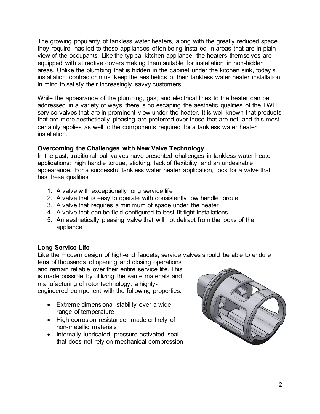The growing popularity of tankless water heaters, along with the greatly reduced space they require, has led to these appliances often being installed in areas that are in plain view of the occupants. Like the typical kitchen appliance, the heaters themselves are equipped with attractive covers making them suitable for installation in non-hidden areas. Unlike the plumbing that is hidden in the cabinet under the kitchen sink, today's installation contractor must keep the aesthetics of their tankless water heater installation in mind to satisfy their increasingly savvy customers.

While the appearance of the plumbing, gas, and electrical lines to the heater can be addressed in a variety of ways, there is no escaping the aesthetic qualities of the TWH service valves that are in prominent view under the heater. It is well known that products that are more aesthetically pleasing are preferred over those that are not, and this most certainly applies as well to the components required for a tankless water heater installation.

## **Overcoming the Challenges with New Valve Technology**

In the past, traditional ball valves have presented challenges in tankless water heater applications: high handle torque, sticking, lack of flexibility, and an undesirable appearance. For a successful tankless water heater application, look for a valve that has these qualities:

- 1. A valve with exceptionally long service life
- 2. A valve that is easy to operate with consistently low handle torque
- 3. A valve that requires a minimum of space under the heater
- 4. A valve that can be field-configured to best fit tight installations
- 5. An aesthetically pleasing valve that will not detract from the looks of the appliance

# **Long Service Life**

Like the modern design of high-end faucets, service valves should be able to endure

tens of thousands of opening and closing operations and remain reliable over their entire service life. This is made possible by utilizing the same materials and manufacturing of rotor technology, a highlyengineered component with the following properties:

- Extreme dimensional stability over a wide range of temperature
- High corrosion resistance, made entirely of non-metallic materials
- Internally lubricated, pressure-activated seal that does not rely on mechanical compression

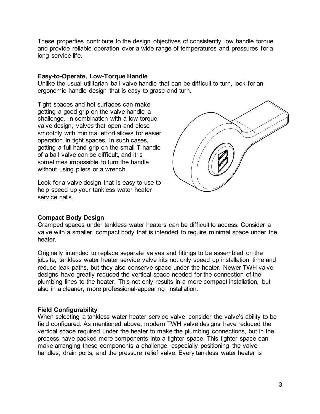These properties contribute to the design objectives of consistently low handle torque and provide reliable operation over a wide range of temperatures and pressures for a long service life.

### **Easy-to-Operate, Low-Torque Handle**

Unlike the usual utilitarian ball valve handle that can be difficult to turn, look for an ergonomic handle design that is easy to grasp and turn.

Tight spaces and hot surfaces can make getting a good grip on the valve handle a challenge. In combination with a low-torque valve design, valves that open and close smoothly with minimal effort allows for easier operation in tight spaces. In such cases, getting a full hand grip on the small T-handle of a ball valve can be difficult, and it is sometimes impossible to turn the handle without using pliers or a wrench.

Look for a valve design that is easy to use to help speed up your tankless water heater service calls.



### **Compact Body Design**

Cramped spaces under tankless water heaters can be difficult to access. Consider a valve with a smaller, compact body that is intended to require minimal space under the heater.

Originally intended to replace separate valves and fittings to be assembled on the jobsite, tankless water heater service valve kits not only speed up installation time and reduce leak paths, but they also conserve space under the heater. Newer TWH valve designs have greatly reduced the vertical space needed for the connection of the plumbing lines to the heater. This not only results in a more compact installation, but also in a cleaner, more professional-appearing installation.

#### **Field Configurability**

When selecting a tankless water heater service valve, consider the valve's ability to be field configured. As mentioned above, modern TWH valve designs have reduced the vertical space required under the heater to make the plumbing connections, but in the process have packed more components into a tighter space. This tighter space can make arranging these components a challenge, especially positioning the valve handles, drain ports, and the pressure relief valve. Every tankless water heater is